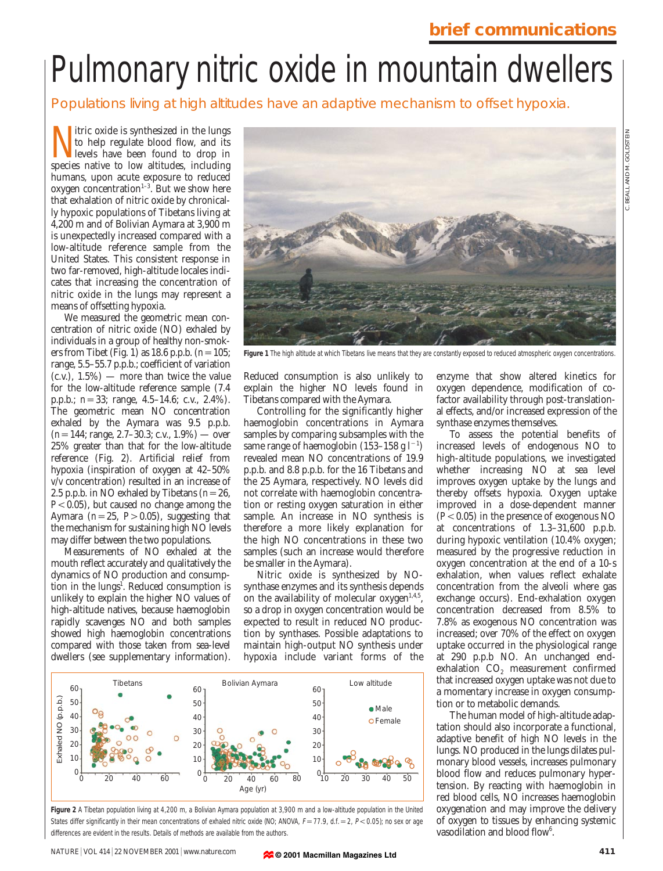## **brief communications**

# Pulmonary nitric oxide in mountain dwellers

Populations living at high altitudes have an adaptive mechanism to offset hypoxia.

itric oxide is synthesized in the lungs to help regulate blood flow, and its levels have been found to drop in species native to low altitudes, including humans, upon acute exposure to reduced  $oxygen concentration<sup>1-3</sup>$ . But we show here that exhalation of nitric oxide by chronically hypoxic populations of Tibetans living at 4,200 m and of Bolivian Aymara at 3,900 m is unexpectedly increased compared with a low-altitude reference sample from the United States. This consistent response in two far-removed, high-altitude locales indicates that increasing the concentration of nitric oxide in the lungs may represent a means of offsetting hypoxia.

We measured the geometric mean concentration of nitric oxide (NO) exhaled by individuals in a group of healthy non-smokers from Tibet (Fig. 1) as  $18.6$  p.p.b.  $(n=105;$ range, 5.5–55.7 p.p.b.; coefficient of variation  $(c.v.)$ ,  $1.5\%$ ) — more than twice the value for the low-altitude reference sample (7.4 p.p.b.; *n*=33; range, 4.5–14.6; c.v., 2.4%). The geometric mean NO concentration exhaled by the Aymara was 9.5 p.p.b.  $(n=144; \text{ range}, 2.7-30.3; \text{c.v.}, 1.9\%)$  — over 25% greater than that for the low-altitude reference (Fig. 2). Artificial relief from hypoxia (inspiration of oxygen at 42–50% *v*/*v* concentration) resulted in an increase of 2.5 p.p.b. in NO exhaled by Tibetans  $(n=26,$  $P$  < 0.05), but caused no change among the Aymara  $(n=25, P>0.05)$ , suggesting that the mechanism for sustaining high NO levels may differ between the two populations.

Measurements of NO exhaled at the mouth reflect accurately and qualitatively the dynamics of NO production and consumption in the lungs<sup>1</sup>. Reduced consumption is unlikely to explain the higher NO values of high-altitude natives, because haemoglobin rapidly scavenges NO and both samples showed high haemoglobin concentrations compared with those taken from sea-level dwellers (see supplementary information).



Figure 1 The high altitude at which Tibetans live means that they are constantly exposed to reduced atmospheric oxygen concentrations.

Reduced consumption is also unlikely to explain the higher NO levels found in Tibetans compared with the Aymara.

Controlling for the significantly higher haemoglobin concentrations in Aymara samples by comparing subsamples with the same range of haemoglobin (153–158 g $1^{-1}$ ) revealed mean NO concentrations of 19.9 p.p.b. and 8.8 p.p.b. for the 16 Tibetans and the 25 Aymara, respectively. NO levels did not correlate with haemoglobin concentration or resting oxygen saturation in either sample. An increase in NO synthesis is therefore a more likely explanation for the high NO concentrations in these two samples (such an increase would therefore be smaller in the Aymara).

Nitric oxide is synthesized by NOsynthase enzymes and its synthesis depends on the availability of molecular  $oxygen<sup>1,4,5</sup>$ , so a drop in oxygen concentration would be expected to result in reduced NO production by synthases. Possible adaptations to maintain high-output NO synthesis under hypoxia include variant forms of the



**Figure 2** A Tibetan population living at 4,200 m, a Bolivian Aymara population at 3,900 m and a low-altitude population in the United States differ significantly in their mean concentrations of exhaled nitric oxide (NO; ANOVA,  $F=77.9$ , d.f.  $= 2$ ,  $P < 0.05$ ); no sex or age differences are evident in the results. Details of methods are available from the authors.

enzyme that show altered kinetics for oxygen dependence, modification of cofactor availability through post-translational effects, and/or increased expression of the synthase enzymes themselves.

To assess the potential benefits of increased levels of endogenous NO to high-altitude populations, we investigated whether increasing NO at sea level improves oxygen uptake by the lungs and thereby offsets hypoxia. Oxygen uptake improved in a dose-dependent manner  $(P<0.05)$  in the presence of exogenous NO at concentrations of 1.3–31,600 p.p.b. during hypoxic ventilation (10.4% oxygen; measured by the progressive reduction in oxygen concentration at the end of a 10-s exhalation, when values reflect exhalate concentration from the alveoli where gas exchange occurs). End-exhalation oxygen concentration decreased from 8.5% to 7.8% as exogenous NO concentration was increased; over 70% of the effect on oxygen uptake occurred in the physiological range at 290 p.p.b NO. An unchanged endexhalation CO<sub>2</sub> measurement confirmed that increased oxygen uptake was not due to a momentary increase in oxygen consumption or to metabolic demands.

The human model of high-altitude adaptation should also incorporate a functional, adaptive benefit of high NO levels in the lungs. NO produced in the lungs dilates pulmonary blood vessels, increases pulmonary blood flow and reduces pulmonary hypertension. By reacting with haemoglobin in red blood cells, NO increases haemoglobin oxygenation and may improve the delivery of oxygen to tissues by enhancing systemic vasodilation and blood flow $6$ .